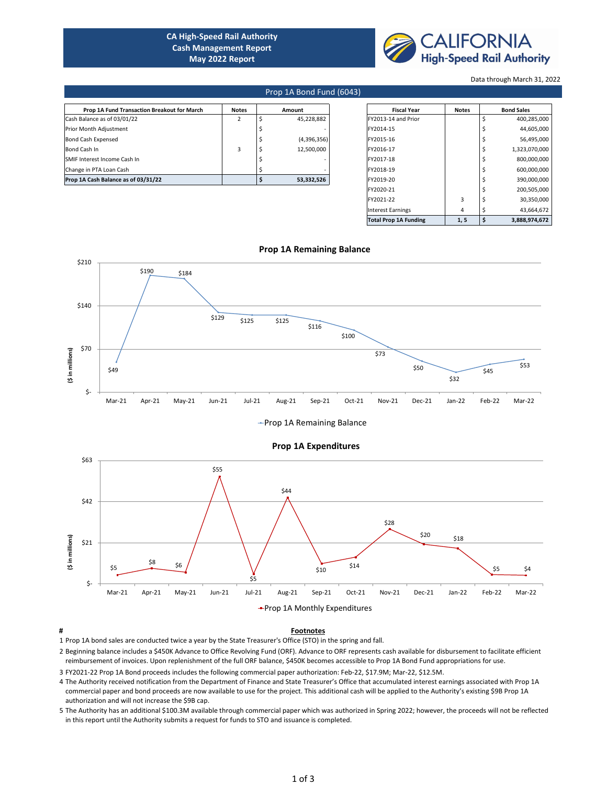| <b>Prop 1A Fund Transaction Breakout for March</b> | <b>Notes</b> | <b>Amount</b> | <b>Fiscal Year</b>  | <b>Notes</b> | <b>Bond Sales</b> |
|----------------------------------------------------|--------------|---------------|---------------------|--------------|-------------------|
| Cash Balance as of 03/01/22                        |              | 45,228,882    | FY2013-14 and Prior |              | 400,285,000       |
| <b>Prior Month Adjustment</b>                      |              |               | <b>FY2014-15</b>    |              | 44,605,000        |
| <b>Bond Cash Expensed</b>                          |              | (4,396,356)   | <b>FY2015-16</b>    |              | 56,495,000        |
| <b>Bond Cash In</b>                                |              | 12,500,000    | <b>FY2016-17</b>    |              | 1,323,070,000     |
| <b>SMIF Interest Income Cash In</b>                |              |               | FY2017-18           |              | 800,000,000       |
| Change in PTA Loan Cash                            |              |               | FY2018-19           |              | 600,000,000       |
| <b>Prop 1A Cash Balance as of 03/31/22</b>         |              | 53,332,526    | FY2019-20           |              | 390,000,000       |

| <b>Fiscal Year</b>           | <b>Notes</b> | <b>Bond Sales</b>   |
|------------------------------|--------------|---------------------|
| FY2013-14 and Prior          |              | \$<br>400,285,000   |
| FY2014-15                    |              | \$<br>44,605,000    |
| FY2015-16                    |              | \$<br>56,495,000    |
| FY2016-17                    |              | \$<br>1,323,070,000 |
| FY2017-18                    |              | \$<br>800,000,000   |
| FY2018-19                    |              | \$<br>600,000,000   |
| FY2019-20                    |              | \$<br>390,000,000   |
| FY2020-21                    |              | \$<br>200,505,000   |
| FY2021-22                    | 3            | \$<br>30,350,000    |
| Interest Earnings            | 4            | \$<br>43,664,672    |
| <b>Total Prop 1A Funding</b> | 1, 5         | \$<br>3,888,974,672 |

## **# Footnotes**

1 Prop 1A bond sales are conducted twice a year by the State Treasurer's Office (STO) in the spring and fall.

- 2 Beginning balance includes a \$450K Advance to Office Revolving Fund (ORF). Advance to ORF represents cash available for disbursement to facilitate efficient reimbursement of invoices. Upon replenishment of the full ORF balance, \$450K becomes accessible to Prop 1A Bond Fund appropriations for use.
- 3 FY2021-22 Prop 1A Bond proceeds includes the following commercial paper authorization: Feb-22, \$17.9M; Mar-22, \$12.5M.
- 4 The Authority received notification from the Department of Finance and State Treasurer's Office that accumulated interest earnings associated with Prop 1A commercial paper and bond proceeds are now available to use for the project. This additional cash will be applied to the Authority's existing \$9B Prop 1A authorization and will not increase the \$9B cap.
- 5 The Authority has an additional \$100.3M available through commercial paper which was authorized in Spring 2022; however, the proceeds will not be reflected in this report until the Authority submits a request for funds to STO and issuance is completed.

# **Prop 1A Remaining Balance**

## Prop 1A Bond Fund (6043)





**CA High-Speed Rail Authority Cash Management Report May 2022 Report** 

#### Data through March 31, 2022



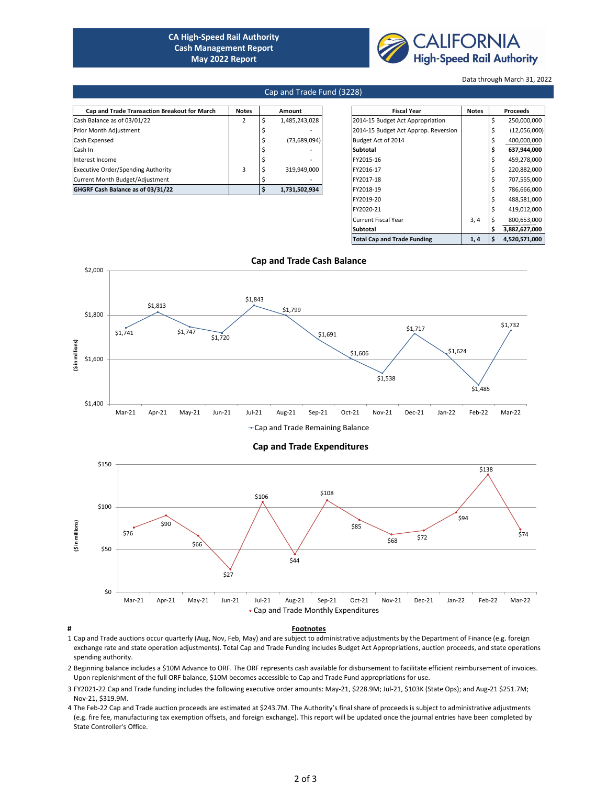| <b>Cap and Trade Transaction Breakout for March</b> | <b>Notes</b> | <b>Amount</b>  | <b>Fiscal Year</b>                   | <b>Notes</b> | <b>Proceeds</b> |
|-----------------------------------------------------|--------------|----------------|--------------------------------------|--------------|-----------------|
| Cash Balance as of 03/01/22                         |              | 1,485,243,028  | 2014-15 Budget Act Appropriation     |              | 250,000,000     |
| <b>Prior Month Adjustment</b>                       |              |                | 2014-15 Budget Act Approp. Reversion |              | (12,056,000)    |
| <b>Cash Expensed</b>                                |              | (73, 689, 094) | Budget Act of 2014                   |              | 400,000,000     |
| Cash In                                             |              |                | Subtotal                             |              | 637,944,000     |
| Interest Income                                     |              |                | FY2015-16                            |              | 459,278,000     |
| <b>Executive Order/Spending Authority</b>           |              | 319,949,000    | FY2016-17                            |              | 220,882,000     |
| Current Month Budget/Adjustment                     |              |                | FY2017-18                            |              | 707,555,000     |
| <b>GHGRF Cash Balance as of 03/31/22</b>            |              | 1,731,502,934  | FY2018-19                            |              | 786,666,000     |

### **# Footnotes**

| <b>Fiscal Year</b>                   | <b>Notes</b> |             | <b>Proceeds</b> |
|--------------------------------------|--------------|-------------|-----------------|
| 2014-15 Budget Act Appropriation     |              | $\zeta$     | 250,000,000     |
| 2014-15 Budget Act Approp. Reversion |              | \$          | (12,056,000)    |
| <b>Budget Act of 2014</b>            |              | \$          | 400,000,000     |
| <b>Subtotal</b>                      |              | \$          | 637,944,000     |
| FY2015-16                            |              | \$          | 459,278,000     |
| FY2016-17                            |              | $\varsigma$ | 220,882,000     |
| FY2017-18                            |              | \$          | 707,555,000     |
| FY2018-19                            |              | $\varsigma$ | 786,666,000     |
| FY2019-20                            |              | $\varsigma$ | 488,581,000     |
| FY2020-21                            |              | $\zeta$     | 419,012,000     |
| <b>Current Fiscal Year</b>           | 3, 4         | \$          | 800,653,000     |
| <b>Subtotal</b>                      |              | \$          | 3,882,627,000   |
| <b>Total Cap and Trade Funding</b>   | 1, 4         | \$          | 4,520,571,000   |

**Cap and Trade Cash Balance**

- 1 Cap and Trade auctions occur quarterly (Aug, Nov, Feb, May) and are subject to administrative adjustments by the Department of Finance (e.g. foreign exchange rate and state operation adjustments). Total Cap and Trade Funding includes Budget Act Appropriations, auction proceeds, and state operations spending authority.
- 2 Beginning balance includes a \$10M Advance to ORF. The ORF represents cash available for disbursement to facilitate efficient reimbursement of invoices. Upon replenishment of the full ORF balance, \$10M becomes accessible to Cap and Trade Fund appropriations for use.
- 3 FY2021-22 Cap and Trade funding includes the following executive order amounts: May-21, \$228.9M; Jul-21, \$103K (State Ops); and Aug-21 \$251.7M; Nov-21, \$319.9M.
- 4 The Feb-22 Cap and Trade auction proceeds are estimated at \$243.7M. The Authority's final share of proceeds is subject to administrative adjustments (e.g. fire fee, manufacturing tax exemption offsets, and foreign exchange). This report will be updated once the journal entries have been completed by State Controller's Office.

**CA High-Speed Rail Authority Cash Management Report May 2022 Report** 



### Data through March 31, 2022

# Cap and Trade Fund (3228)